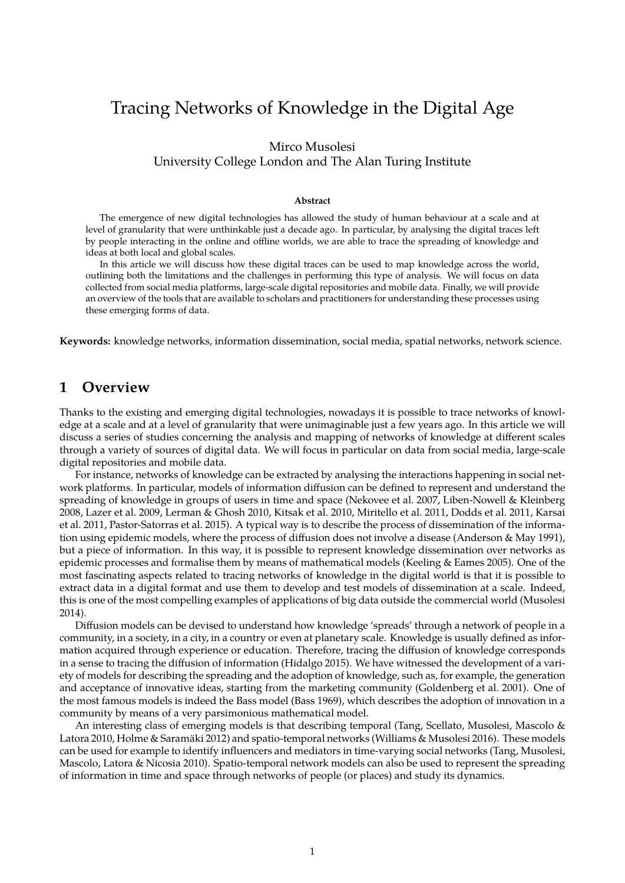# Tracing Networks of Knowledge in the Digital Age

Mirco Musolesi University College London and The Alan Turing Institute

#### **Abstract**

The emergence of new digital technologies has allowed the study of human behaviour at a scale and at level of granularity that were unthinkable just a decade ago. In particular, by analysing the digital traces left by people interacting in the online and offline worlds, we are able to trace the spreading of knowledge and ideas at both local and global scales.

In this article we will discuss how these digital traces can be used to map knowledge across the world, outlining both the limitations and the challenges in performing this type of analysis. We will focus on data collected from social media platforms, large-scale digital repositories and mobile data. Finally, we will provide an overview of the tools that are available to scholars and practitioners for understanding these processes using these emerging forms of data.

**Keywords:** knowledge networks, information dissemination, social media, spatial networks, network science.

#### **1 Overview**

Thanks to the existing and emerging digital technologies, nowadays it is possible to trace networks of knowledge at a scale and at a level of granularity that were unimaginable just a few years ago. In this article we will discuss a series of studies concerning the analysis and mapping of networks of knowledge at different scales through a variety of sources of digital data. We will focus in particular on data from social media, large-scale digital repositories and mobile data.

For instance, networks of knowledge can be extracted by analysing the interactions happening in social network platforms. In particular, models of information diffusion can be defined to represent and understand the spreading of knowledge in groups of users in time and space (Nekovee et al. 2007, Liben-Nowell & Kleinberg 2008, Lazer et al. 2009, Lerman & Ghosh 2010, Kitsak et al. 2010, Miritello et al. 2011, Dodds et al. 2011, Karsai et al. 2011, Pastor-Satorras et al. 2015). A typical way is to describe the process of dissemination of the information using epidemic models, where the process of diffusion does not involve a disease (Anderson & May 1991), but a piece of information. In this way, it is possible to represent knowledge dissemination over networks as epidemic processes and formalise them by means of mathematical models (Keeling & Eames 2005). One of the most fascinating aspects related to tracing networks of knowledge in the digital world is that it is possible to extract data in a digital format and use them to develop and test models of dissemination at a scale. Indeed, this is one of the most compelling examples of applications of big data outside the commercial world (Musolesi 2014).

Diffusion models can be devised to understand how knowledge 'spreads' through a network of people in a community, in a society, in a city, in a country or even at planetary scale. Knowledge is usually defined as information acquired through experience or education. Therefore, tracing the diffusion of knowledge corresponds in a sense to tracing the diffusion of information (Hidalgo 2015). We have witnessed the development of a variety of models for describing the spreading and the adoption of knowledge, such as, for example, the generation and acceptance of innovative ideas, starting from the marketing community (Goldenberg et al. 2001). One of the most famous models is indeed the Bass model (Bass 1969), which describes the adoption of innovation in a community by means of a very parsimonious mathematical model.

An interesting class of emerging models is that describing temporal (Tang, Scellato, Musolesi, Mascolo & Latora 2010, Holme & Saramäki 2012) and spatio-temporal networks (Williams & Musolesi 2016). These models can be used for example to identify influencers and mediators in time-varying social networks (Tang, Musolesi, Mascolo, Latora & Nicosia 2010). Spatio-temporal network models can also be used to represent the spreading of information in time and space through networks of people (or places) and study its dynamics.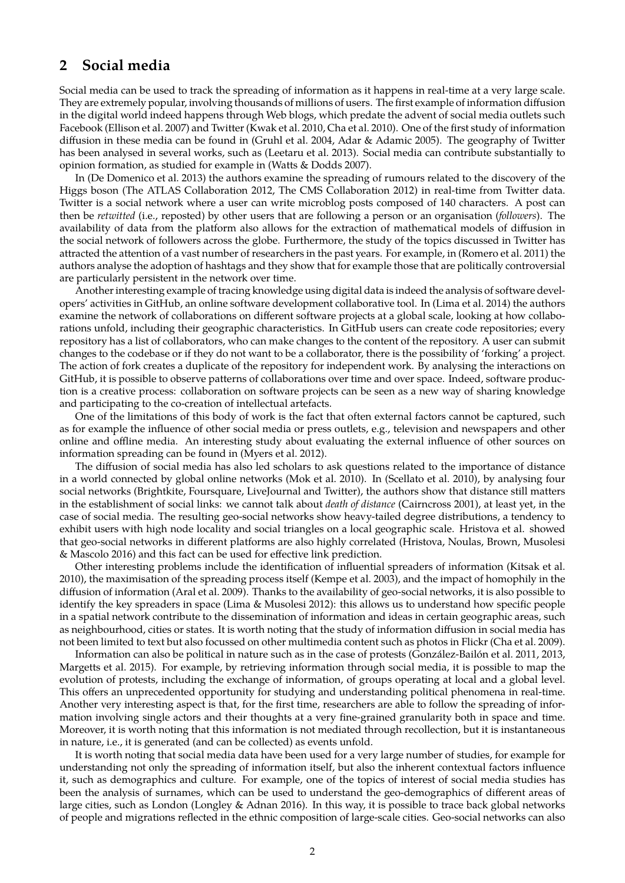### **2 Social media**

Social media can be used to track the spreading of information as it happens in real-time at a very large scale. They are extremely popular, involving thousands of millions of users. The first example of information diffusion in the digital world indeed happens through Web blogs, which predate the advent of social media outlets such Facebook (Ellison et al. 2007) and Twitter (Kwak et al. 2010, Cha et al. 2010). One of the first study of information diffusion in these media can be found in (Gruhl et al. 2004, Adar & Adamic 2005). The geography of Twitter has been analysed in several works, such as (Leetaru et al. 2013). Social media can contribute substantially to opinion formation, as studied for example in (Watts & Dodds 2007).

In (De Domenico et al. 2013) the authors examine the spreading of rumours related to the discovery of the Higgs boson (The ATLAS Collaboration 2012, The CMS Collaboration 2012) in real-time from Twitter data. Twitter is a social network where a user can write microblog posts composed of 140 characters. A post can then be *retwitted* (i.e., reposted) by other users that are following a person or an organisation (*followers*). The availability of data from the platform also allows for the extraction of mathematical models of diffusion in the social network of followers across the globe. Furthermore, the study of the topics discussed in Twitter has attracted the attention of a vast number of researchers in the past years. For example, in (Romero et al. 2011) the authors analyse the adoption of hashtags and they show that for example those that are politically controversial are particularly persistent in the network over time.

Another interesting example of tracing knowledge using digital data is indeed the analysis of software developers' activities in GitHub, an online software development collaborative tool. In (Lima et al. 2014) the authors examine the network of collaborations on different software projects at a global scale, looking at how collaborations unfold, including their geographic characteristics. In GitHub users can create code repositories; every repository has a list of collaborators, who can make changes to the content of the repository. A user can submit changes to the codebase or if they do not want to be a collaborator, there is the possibility of 'forking' a project. The action of fork creates a duplicate of the repository for independent work. By analysing the interactions on GitHub, it is possible to observe patterns of collaborations over time and over space. Indeed, software production is a creative process: collaboration on software projects can be seen as a new way of sharing knowledge and participating to the co-creation of intellectual artefacts.

One of the limitations of this body of work is the fact that often external factors cannot be captured, such as for example the influence of other social media or press outlets, e.g., television and newspapers and other online and offline media. An interesting study about evaluating the external influence of other sources on information spreading can be found in (Myers et al. 2012).

The diffusion of social media has also led scholars to ask questions related to the importance of distance in a world connected by global online networks (Mok et al. 2010). In (Scellato et al. 2010), by analysing four social networks (Brightkite, Foursquare, LiveJournal and Twitter), the authors show that distance still matters in the establishment of social links: we cannot talk about *death of distance* (Cairncross 2001), at least yet, in the case of social media. The resulting geo-social networks show heavy-tailed degree distributions, a tendency to exhibit users with high node locality and social triangles on a local geographic scale. Hristova et al. showed that geo-social networks in different platforms are also highly correlated (Hristova, Noulas, Brown, Musolesi & Mascolo 2016) and this fact can be used for effective link prediction.

Other interesting problems include the identification of influential spreaders of information (Kitsak et al. 2010), the maximisation of the spreading process itself (Kempe et al. 2003), and the impact of homophily in the diffusion of information (Aral et al. 2009). Thanks to the availability of geo-social networks, it is also possible to identify the key spreaders in space (Lima & Musolesi 2012): this allows us to understand how specific people in a spatial network contribute to the dissemination of information and ideas in certain geographic areas, such as neighbourhood, cities or states. It is worth noting that the study of information diffusion in social media has not been limited to text but also focussed on other multimedia content such as photos in Flickr (Cha et al. 2009).

Information can also be political in nature such as in the case of protests (González-Bailón et al. 2011, 2013, Margetts et al. 2015). For example, by retrieving information through social media, it is possible to map the evolution of protests, including the exchange of information, of groups operating at local and a global level. This offers an unprecedented opportunity for studying and understanding political phenomena in real-time. Another very interesting aspect is that, for the first time, researchers are able to follow the spreading of information involving single actors and their thoughts at a very fine-grained granularity both in space and time. Moreover, it is worth noting that this information is not mediated through recollection, but it is instantaneous in nature, i.e., it is generated (and can be collected) as events unfold.

It is worth noting that social media data have been used for a very large number of studies, for example for understanding not only the spreading of information itself, but also the inherent contextual factors influence it, such as demographics and culture. For example, one of the topics of interest of social media studies has been the analysis of surnames, which can be used to understand the geo-demographics of different areas of large cities, such as London (Longley & Adnan 2016). In this way, it is possible to trace back global networks of people and migrations reflected in the ethnic composition of large-scale cities. Geo-social networks can also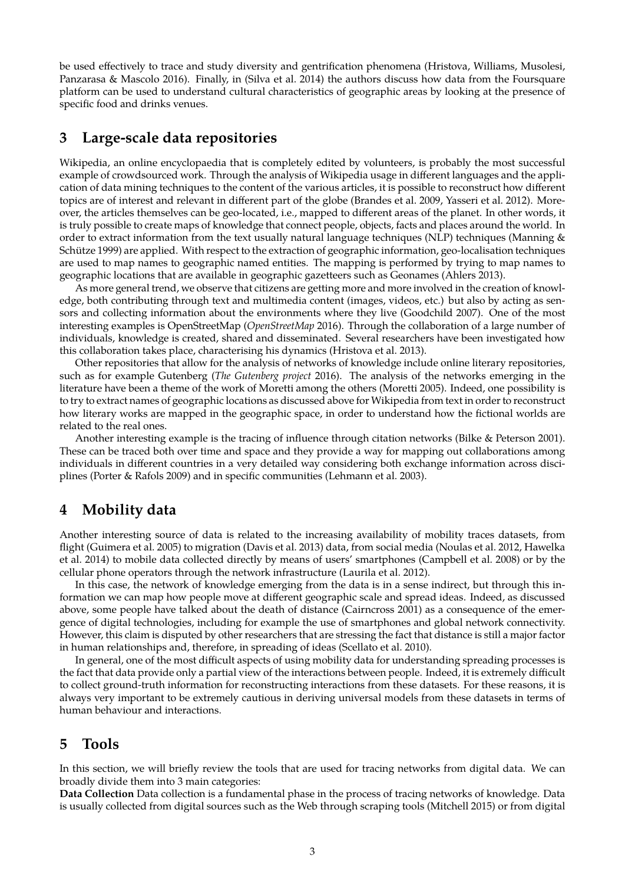be used effectively to trace and study diversity and gentrification phenomena (Hristova, Williams, Musolesi, Panzarasa & Mascolo 2016). Finally, in (Silva et al. 2014) the authors discuss how data from the Foursquare platform can be used to understand cultural characteristics of geographic areas by looking at the presence of specific food and drinks venues.

### **3 Large-scale data repositories**

Wikipedia, an online encyclopaedia that is completely edited by volunteers, is probably the most successful example of crowdsourced work. Through the analysis of Wikipedia usage in different languages and the application of data mining techniques to the content of the various articles, it is possible to reconstruct how different topics are of interest and relevant in different part of the globe (Brandes et al. 2009, Yasseri et al. 2012). Moreover, the articles themselves can be geo-located, i.e., mapped to different areas of the planet. In other words, it is truly possible to create maps of knowledge that connect people, objects, facts and places around the world. In order to extract information from the text usually natural language techniques (NLP) techniques (Manning & Schütze 1999) are applied. With respect to the extraction of geographic information, geo-localisation techniques are used to map names to geographic named entities. The mapping is performed by trying to map names to geographic locations that are available in geographic gazetteers such as Geonames (Ahlers 2013).

As more general trend, we observe that citizens are getting more and more involved in the creation of knowledge, both contributing through text and multimedia content (images, videos, etc.) but also by acting as sensors and collecting information about the environments where they live (Goodchild 2007). One of the most interesting examples is OpenStreetMap (*OpenStreetMap* 2016). Through the collaboration of a large number of individuals, knowledge is created, shared and disseminated. Several researchers have been investigated how this collaboration takes place, characterising his dynamics (Hristova et al. 2013).

Other repositories that allow for the analysis of networks of knowledge include online literary repositories, such as for example Gutenberg (*The Gutenberg project* 2016). The analysis of the networks emerging in the literature have been a theme of the work of Moretti among the others (Moretti 2005). Indeed, one possibility is to try to extract names of geographic locations as discussed above for Wikipedia from text in order to reconstruct how literary works are mapped in the geographic space, in order to understand how the fictional worlds are related to the real ones.

Another interesting example is the tracing of influence through citation networks (Bilke & Peterson 2001). These can be traced both over time and space and they provide a way for mapping out collaborations among individuals in different countries in a very detailed way considering both exchange information across disciplines (Porter & Rafols 2009) and in specific communities (Lehmann et al. 2003).

### **4 Mobility data**

Another interesting source of data is related to the increasing availability of mobility traces datasets, from flight (Guimera et al. 2005) to migration (Davis et al. 2013) data, from social media (Noulas et al. 2012, Hawelka et al. 2014) to mobile data collected directly by means of users' smartphones (Campbell et al. 2008) or by the cellular phone operators through the network infrastructure (Laurila et al. 2012).

In this case, the network of knowledge emerging from the data is in a sense indirect, but through this information we can map how people move at different geographic scale and spread ideas. Indeed, as discussed above, some people have talked about the death of distance (Cairncross 2001) as a consequence of the emergence of digital technologies, including for example the use of smartphones and global network connectivity. However, this claim is disputed by other researchers that are stressing the fact that distance is still a major factor in human relationships and, therefore, in spreading of ideas (Scellato et al. 2010).

In general, one of the most difficult aspects of using mobility data for understanding spreading processes is the fact that data provide only a partial view of the interactions between people. Indeed, it is extremely difficult to collect ground-truth information for reconstructing interactions from these datasets. For these reasons, it is always very important to be extremely cautious in deriving universal models from these datasets in terms of human behaviour and interactions.

### **5 Tools**

In this section, we will briefly review the tools that are used for tracing networks from digital data. We can broadly divide them into 3 main categories:

**Data Collection** Data collection is a fundamental phase in the process of tracing networks of knowledge. Data is usually collected from digital sources such as the Web through scraping tools (Mitchell 2015) or from digital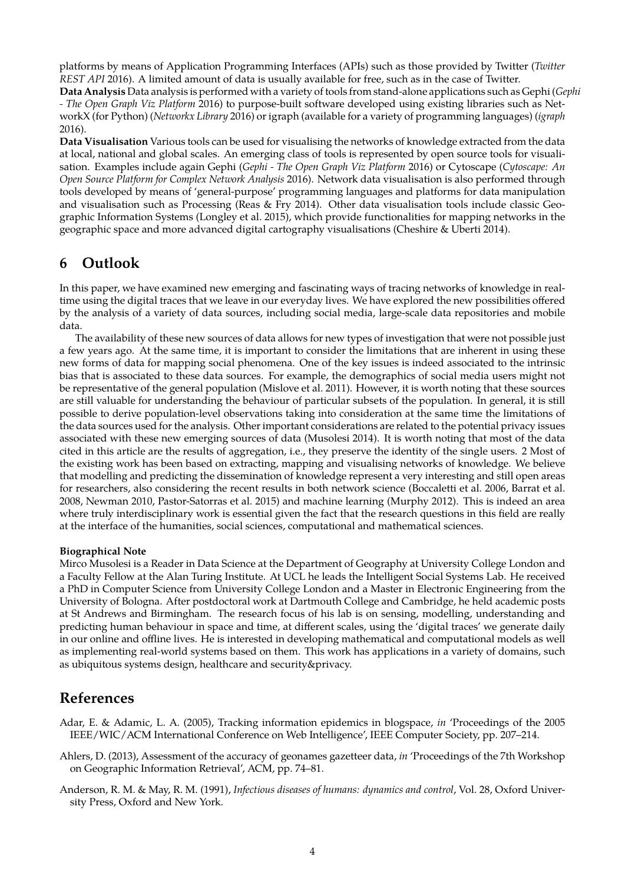platforms by means of Application Programming Interfaces (APIs) such as those provided by Twitter (*Twitter REST API* 2016). A limited amount of data is usually available for free, such as in the case of Twitter.

**Data Analysis** Data analysis is performed with a variety of tools from stand-alone applications such as Gephi (*Gephi - The Open Graph Viz Platform* 2016) to purpose-built software developed using existing libraries such as NetworkX (for Python) (*Networkx Library* 2016) or igraph (available for a variety of programming languages) (*igraph* 2016).

**Data Visualisation** Various tools can be used for visualising the networks of knowledge extracted from the data at local, national and global scales. An emerging class of tools is represented by open source tools for visualisation. Examples include again Gephi (*Gephi - The Open Graph Viz Platform* 2016) or Cytoscape (*Cytoscape: An Open Source Platform for Complex Network Analysis* 2016). Network data visualisation is also performed through tools developed by means of 'general-purpose' programming languages and platforms for data manipulation and visualisation such as Processing (Reas & Fry 2014). Other data visualisation tools include classic Geographic Information Systems (Longley et al. 2015), which provide functionalities for mapping networks in the geographic space and more advanced digital cartography visualisations (Cheshire & Uberti 2014).

### **6 Outlook**

In this paper, we have examined new emerging and fascinating ways of tracing networks of knowledge in realtime using the digital traces that we leave in our everyday lives. We have explored the new possibilities offered by the analysis of a variety of data sources, including social media, large-scale data repositories and mobile data.

The availability of these new sources of data allows for new types of investigation that were not possible just a few years ago. At the same time, it is important to consider the limitations that are inherent in using these new forms of data for mapping social phenomena. One of the key issues is indeed associated to the intrinsic bias that is associated to these data sources. For example, the demographics of social media users might not be representative of the general population (Mislove et al. 2011). However, it is worth noting that these sources are still valuable for understanding the behaviour of particular subsets of the population. In general, it is still possible to derive population-level observations taking into consideration at the same time the limitations of the data sources used for the analysis. Other important considerations are related to the potential privacy issues associated with these new emerging sources of data (Musolesi 2014). It is worth noting that most of the data cited in this article are the results of aggregation, i.e., they preserve the identity of the single users. 2 Most of the existing work has been based on extracting, mapping and visualising networks of knowledge. We believe that modelling and predicting the dissemination of knowledge represent a very interesting and still open areas for researchers, also considering the recent results in both network science (Boccaletti et al. 2006, Barrat et al. 2008, Newman 2010, Pastor-Satorras et al. 2015) and machine learning (Murphy 2012). This is indeed an area where truly interdisciplinary work is essential given the fact that the research questions in this field are really at the interface of the humanities, social sciences, computational and mathematical sciences.

#### **Biographical Note**

Mirco Musolesi is a Reader in Data Science at the Department of Geography at University College London and a Faculty Fellow at the Alan Turing Institute. At UCL he leads the Intelligent Social Systems Lab. He received a PhD in Computer Science from University College London and a Master in Electronic Engineering from the University of Bologna. After postdoctoral work at Dartmouth College and Cambridge, he held academic posts at St Andrews and Birmingham. The research focus of his lab is on sensing, modelling, understanding and predicting human behaviour in space and time, at different scales, using the 'digital traces' we generate daily in our online and offline lives. He is interested in developing mathematical and computational models as well as implementing real-world systems based on them. This work has applications in a variety of domains, such as ubiquitous systems design, healthcare and security&privacy.

## **References**

Adar, E. & Adamic, L. A. (2005), Tracking information epidemics in blogspace, *in* 'Proceedings of the 2005 IEEE/WIC/ACM International Conference on Web Intelligence', IEEE Computer Society, pp. 207–214.

- Ahlers, D. (2013), Assessment of the accuracy of geonames gazetteer data, *in* 'Proceedings of the 7th Workshop on Geographic Information Retrieval', ACM, pp. 74–81.
- Anderson, R. M. & May, R. M. (1991), *Infectious diseases of humans: dynamics and control*, Vol. 28, Oxford University Press, Oxford and New York.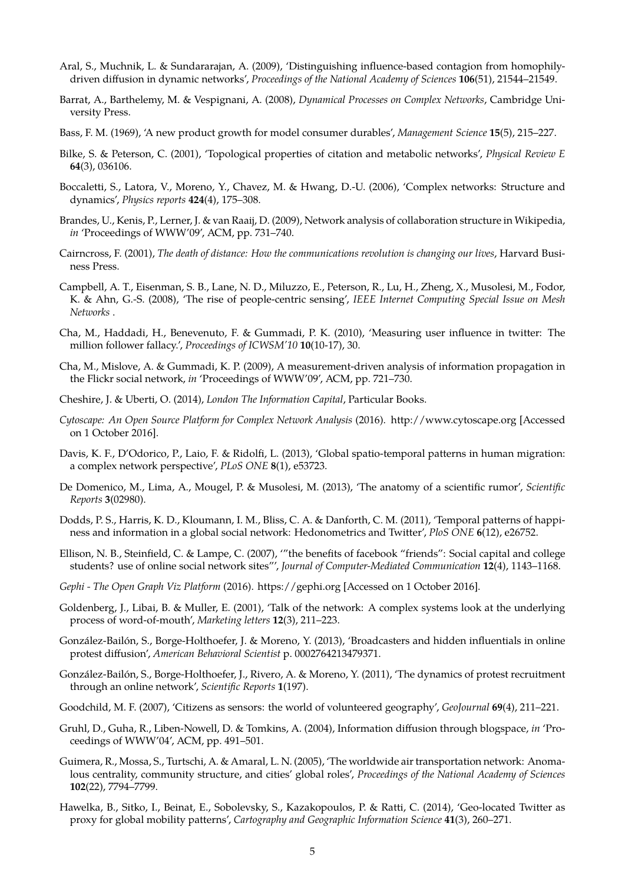- Aral, S., Muchnik, L. & Sundararajan, A. (2009), 'Distinguishing influence-based contagion from homophilydriven diffusion in dynamic networks', *Proceedings of the National Academy of Sciences* **106**(51), 21544–21549.
- Barrat, A., Barthelemy, M. & Vespignani, A. (2008), *Dynamical Processes on Complex Networks*, Cambridge University Press.
- Bass, F. M. (1969), 'A new product growth for model consumer durables', *Management Science* **15**(5), 215–227.
- Bilke, S. & Peterson, C. (2001), 'Topological properties of citation and metabolic networks', *Physical Review E* **64**(3), 036106.
- Boccaletti, S., Latora, V., Moreno, Y., Chavez, M. & Hwang, D.-U. (2006), 'Complex networks: Structure and dynamics', *Physics reports* **424**(4), 175–308.
- Brandes, U., Kenis, P., Lerner, J. & van Raaij, D. (2009), Network analysis of collaboration structure in Wikipedia, *in* 'Proceedings of WWW'09', ACM, pp. 731–740.
- Cairncross, F. (2001), *The death of distance: How the communications revolution is changing our lives*, Harvard Business Press.
- Campbell, A. T., Eisenman, S. B., Lane, N. D., Miluzzo, E., Peterson, R., Lu, H., Zheng, X., Musolesi, M., Fodor, K. & Ahn, G.-S. (2008), 'The rise of people-centric sensing', *IEEE Internet Computing Special Issue on Mesh Networks* .
- Cha, M., Haddadi, H., Benevenuto, F. & Gummadi, P. K. (2010), 'Measuring user influence in twitter: The million follower fallacy.', *Proceedings of ICWSM'10* **10**(10-17), 30.
- Cha, M., Mislove, A. & Gummadi, K. P. (2009), A measurement-driven analysis of information propagation in the Flickr social network, *in* 'Proceedings of WWW'09', ACM, pp. 721–730.
- Cheshire, J. & Uberti, O. (2014), *London The Information Capital*, Particular Books.
- *Cytoscape: An Open Source Platform for Complex Network Analysis* (2016). http://www.cytoscape.org [Accessed on 1 October 2016].
- Davis, K. F., D'Odorico, P., Laio, F. & Ridolfi, L. (2013), 'Global spatio-temporal patterns in human migration: a complex network perspective', *PLoS ONE* **8**(1), e53723.
- De Domenico, M., Lima, A., Mougel, P. & Musolesi, M. (2013), 'The anatomy of a scientific rumor', *Scientific Reports* **3**(02980).
- Dodds, P. S., Harris, K. D., Kloumann, I. M., Bliss, C. A. & Danforth, C. M. (2011), 'Temporal patterns of happiness and information in a global social network: Hedonometrics and Twitter', *PloS ONE* **6**(12), e26752.
- Ellison, N. B., Steinfield, C. & Lampe, C. (2007), '"the benefits of facebook "friends": Social capital and college students? use of online social network sites"', *Journal of Computer-Mediated Communication* **12**(4), 1143–1168.
- *Gephi The Open Graph Viz Platform* (2016). https://gephi.org [Accessed on 1 October 2016].
- Goldenberg, J., Libai, B. & Muller, E. (2001), 'Talk of the network: A complex systems look at the underlying process of word-of-mouth', *Marketing letters* **12**(3), 211–223.
- González-Bailón, S., Borge-Holthoefer, J. & Moreno, Y. (2013), 'Broadcasters and hidden influentials in online protest diffusion', *American Behavioral Scientist* p. 0002764213479371.
- González-Bailón, S., Borge-Holthoefer, J., Rivero, A. & Moreno, Y. (2011), 'The dynamics of protest recruitment through an online network', *Scientific Reports* **1**(197).
- Goodchild, M. F. (2007), 'Citizens as sensors: the world of volunteered geography', *GeoJournal* **69**(4), 211–221.
- Gruhl, D., Guha, R., Liben-Nowell, D. & Tomkins, A. (2004), Information diffusion through blogspace, *in* 'Proceedings of WWW'04', ACM, pp. 491–501.
- Guimera, R., Mossa, S., Turtschi, A. & Amaral, L. N. (2005), 'The worldwide air transportation network: Anomalous centrality, community structure, and cities' global roles', *Proceedings of the National Academy of Sciences* **102**(22), 7794–7799.
- Hawelka, B., Sitko, I., Beinat, E., Sobolevsky, S., Kazakopoulos, P. & Ratti, C. (2014), 'Geo-located Twitter as proxy for global mobility patterns', *Cartography and Geographic Information Science* **41**(3), 260–271.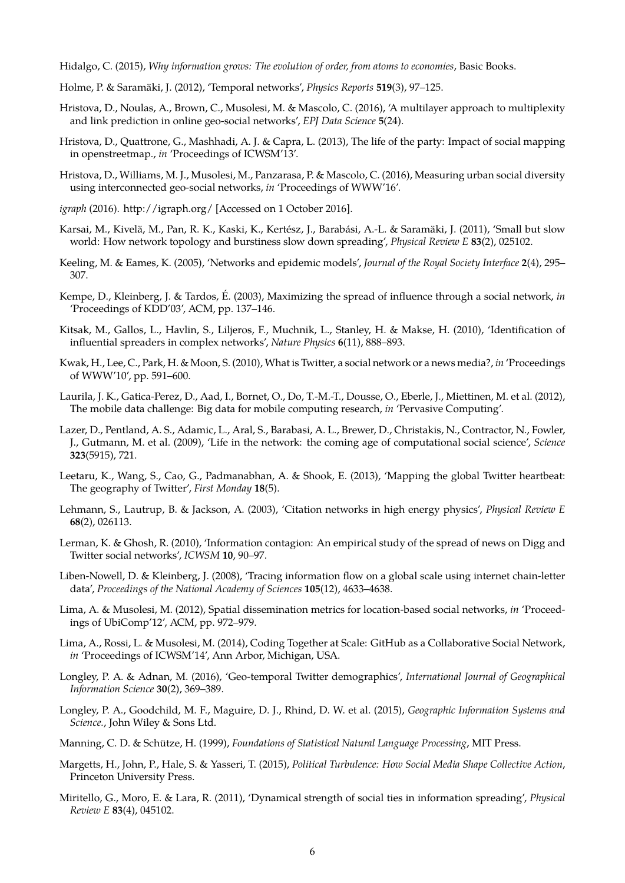Hidalgo, C. (2015), *Why information grows: The evolution of order, from atoms to economies*, Basic Books.

- Holme, P. & Saramäki, J. (2012), 'Temporal networks', *Physics Reports* 519(3), 97-125.
- Hristova, D., Noulas, A., Brown, C., Musolesi, M. & Mascolo, C. (2016), 'A multilayer approach to multiplexity and link prediction in online geo-social networks', *EPJ Data Science* **5**(24).
- Hristova, D., Quattrone, G., Mashhadi, A. J. & Capra, L. (2013), The life of the party: Impact of social mapping in openstreetmap., *in* 'Proceedings of ICWSM'13'.
- Hristova, D., Williams, M. J., Musolesi, M., Panzarasa, P. & Mascolo, C. (2016), Measuring urban social diversity using interconnected geo-social networks, *in* 'Proceedings of WWW'16'.
- *igraph* (2016). http://igraph.org/ [Accessed on 1 October 2016].
- Karsai, M., Kivelä, M., Pan, R. K., Kaski, K., Kertész, J., Barabási, A.-L. & Saramäki, J. (2011), 'Small but slow world: How network topology and burstiness slow down spreading', *Physical Review E* **83**(2), 025102.
- Keeling, M. & Eames, K. (2005), 'Networks and epidemic models', *Journal of the Royal Society Interface* **2**(4), 295– 307.
- Kempe, D., Kleinberg, J. & Tardos, É. (2003), Maximizing the spread of influence through a social network, *in* 'Proceedings of KDD'03', ACM, pp. 137–146.
- Kitsak, M., Gallos, L., Havlin, S., Liljeros, F., Muchnik, L., Stanley, H. & Makse, H. (2010), 'Identification of influential spreaders in complex networks', *Nature Physics* **6**(11), 888–893.
- Kwak, H., Lee, C., Park, H. & Moon, S. (2010), What is Twitter, a social network or a news media?, *in* 'Proceedings of WWW'10', pp. 591–600.
- Laurila, J. K., Gatica-Perez, D., Aad, I., Bornet, O., Do, T.-M.-T., Dousse, O., Eberle, J., Miettinen, M. et al. (2012), The mobile data challenge: Big data for mobile computing research, *in* 'Pervasive Computing'.
- Lazer, D., Pentland, A. S., Adamic, L., Aral, S., Barabasi, A. L., Brewer, D., Christakis, N., Contractor, N., Fowler, J., Gutmann, M. et al. (2009), 'Life in the network: the coming age of computational social science', *Science* **323**(5915), 721.
- Leetaru, K., Wang, S., Cao, G., Padmanabhan, A. & Shook, E. (2013), 'Mapping the global Twitter heartbeat: The geography of Twitter', *First Monday* **18**(5).
- Lehmann, S., Lautrup, B. & Jackson, A. (2003), 'Citation networks in high energy physics', *Physical Review E* **68**(2), 026113.
- Lerman, K. & Ghosh, R. (2010), 'Information contagion: An empirical study of the spread of news on Digg and Twitter social networks', *ICWSM* **10**, 90–97.
- Liben-Nowell, D. & Kleinberg, J. (2008), 'Tracing information flow on a global scale using internet chain-letter data', *Proceedings of the National Academy of Sciences* **105**(12), 4633–4638.
- Lima, A. & Musolesi, M. (2012), Spatial dissemination metrics for location-based social networks, *in* 'Proceedings of UbiComp'12', ACM, pp. 972–979.
- Lima, A., Rossi, L. & Musolesi, M. (2014), Coding Together at Scale: GitHub as a Collaborative Social Network, *in* 'Proceedings of ICWSM'14', Ann Arbor, Michigan, USA.
- Longley, P. A. & Adnan, M. (2016), 'Geo-temporal Twitter demographics', *International Journal of Geographical Information Science* **30**(2), 369–389.
- Longley, P. A., Goodchild, M. F., Maguire, D. J., Rhind, D. W. et al. (2015), *Geographic Information Systems and Science.*, John Wiley & Sons Ltd.
- Manning, C. D. & Schütze, H. (1999), *Foundations of Statistical Natural Language Processing*, MIT Press.
- Margetts, H., John, P., Hale, S. & Yasseri, T. (2015), *Political Turbulence: How Social Media Shape Collective Action*, Princeton University Press.
- Miritello, G., Moro, E. & Lara, R. (2011), 'Dynamical strength of social ties in information spreading', *Physical Review E* **83**(4), 045102.